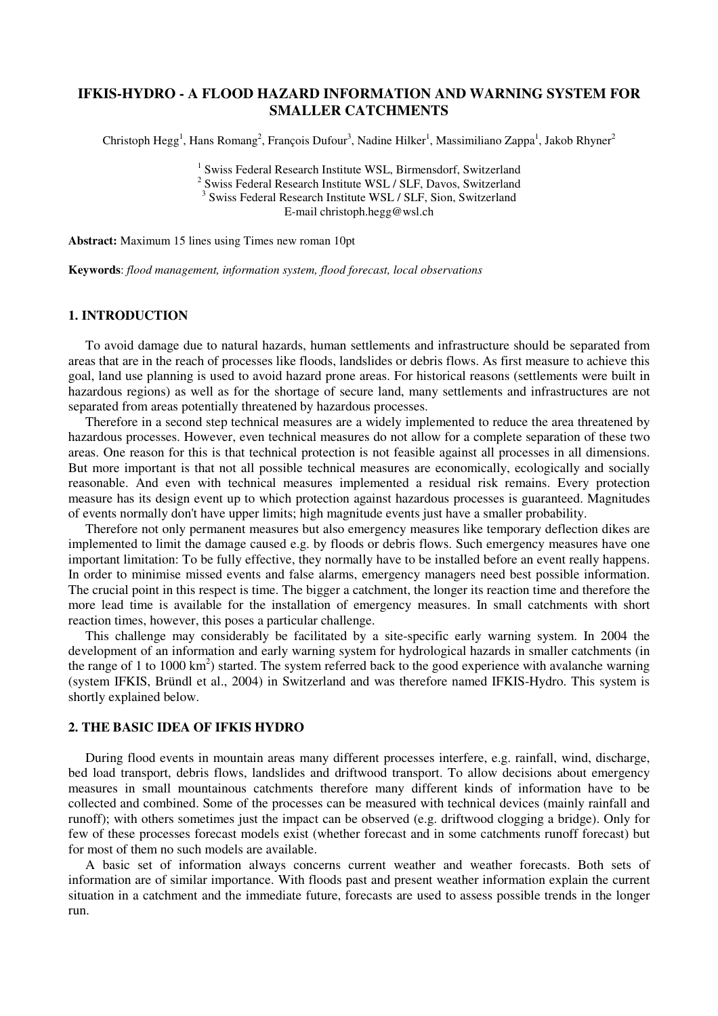# IFKIS-HYDRO - A FLOOD HAZARD INFORMATION AND WARNING SYSTEM FOR SMALLER CATCHMENTS

Christoph Hegg<sup>1</sup>, Hans Romang<sup>2</sup>, François Dufour<sup>3</sup>, Nadine Hilker<sup>1</sup>, Massimiliano Zappa<sup>1</sup>, Jakob Rhyner<sup>2</sup>

<sup>1</sup> Swiss Federal Research Institute WSL, Birmensdorf, Switzerland

<sup>2</sup> Swiss Federal Research Institute WSL / SLF, Davos, Switzerland

<sup>3</sup> Swiss Federal Research Institute WSL / SLF, Sion, Switzerland

E-mail christoph.hegg@wsl.ch

Abstract: Maximum 15 lines using Times new roman 10pt

Keywords: flood management, information system, flood forecast, local observations

# 1. INTRODUCTION

To avoid damage due to natural hazards, human settlements and infrastructure should be separated from areas that are in the reach of processes like floods, landslides or debris flows. As first measure to achieve this goal, land use planning is used to avoid hazard prone areas. For historical reasons (settlements were built in hazardous regions) as well as for the shortage of secure land, many settlements and infrastructures are not separated from areas potentially threatened by hazardous processes.

Therefore in a second step technical measures are a widely implemented to reduce the area threatened by hazardous processes. However, even technical measures do not allow for a complete separation of these two areas. One reason for this is that technical protection is not feasible against all processes in all dimensions. But more important is that not all possible technical measures are economically, ecologically and socially reasonable. And even with technical measures implemented a residual risk remains. Every protection measure has its design event up to which protection against hazardous processes is guaranteed. Magnitudes of events normally don't have upper limits; high magnitude events just have a smaller probability.

Therefore not only permanent measures but also emergency measures like temporary deflection dikes are implemented to limit the damage caused e.g. by floods or debris flows. Such emergency measures have one important limitation: To be fully effective, they normally have to be installed before an event really happens. In order to minimise missed events and false alarms, emergency managers need best possible information. The crucial point in this respect is time. The bigger a catchment, the longer its reaction time and therefore the more lead time is available for the installation of emergency measures. In small catchments with short reaction times, however, this poses a particular challenge.

This challenge may considerably be facilitated by a site-specific early warning system. In 2004 the development of an information and early warning system for hydrological hazards in smaller catchments (in the range of 1 to 1000  $\text{km}^2$ ) started. The system referred back to the good experience with avalanche warning (system IFKIS, Bründl et al., 2004) in Switzerland and was therefore named IFKIS-Hydro. This system is shortly explained below.

### 2. THE BASIC IDEA OF IFKIS HYDRO

During flood events in mountain areas many different processes interfere, e.g. rainfall, wind, discharge, bed load transport, debris flows, landslides and driftwood transport. To allow decisions about emergency measures in small mountainous catchments therefore many different kinds of information have to be collected and combined. Some of the processes can be measured with technical devices (mainly rainfall and runoff); with others sometimes just the impact can be observed (e.g. driftwood clogging a bridge). Only for few of these processes forecast models exist (whether forecast and in some catchments runoff forecast) but for most of them no such models are available.

A basic set of information always concerns current weather and weather forecasts. Both sets of information are of similar importance. With floods past and present weather information explain the current situation in a catchment and the immediate future, forecasts are used to assess possible trends in the longer run.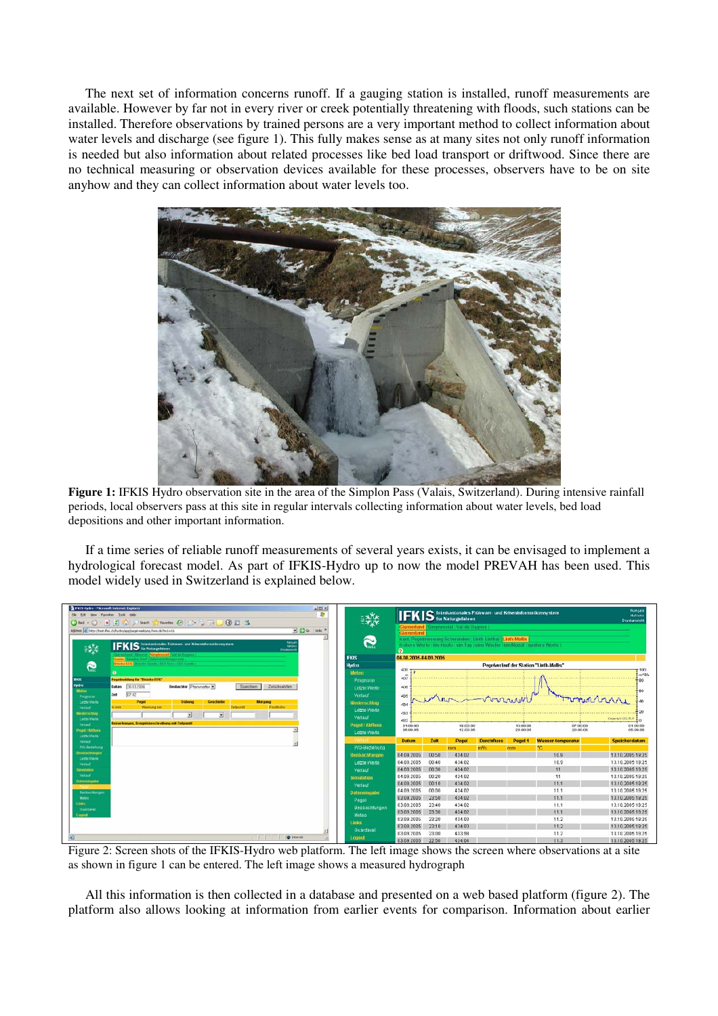The next set of information concerns runoff. If a gauging station is installed, runoff measurements are available. However by far not in every river or creek potentially threatening with floods, such stations can be installed. Therefore observations by trained persons are a very important method to collect information about water levels and discharge (see figure 1). This fully makes sense as at many sites not only runoff information is needed but also information about related processes like bed load transport or driftwood. Since there are no technical measuring or observation devices available for these processes, observers have to be on site anyhow and they can collect information about water levels too.



Figure 1: IFKIS Hydro observation site in the area of the Simplon Pass (Valais, Switzerland). During intensive rainfall periods, local observers pass at this site in regular intervals collecting information about water levels, bed load depositions and other important information.

If a time series of reliable runoff measurements of several years exists, it can be envisaged to implement a hydrological forecast model. As part of IFKIS-Hydro up to now the model PREVAH has been used. This model widely used in Switzerland is explained below.

| $\frac{1}{2}$ $\frac{1}{2}$<br><b>WEIS Hydro - Microsoft Internet Explorer</b><br>$\mathbf{r}$<br>Very Forcytes Tools Hel |                                                                                                                                                                                                                                      |                      | français<br><b>IFKIS</b> Interkantonales Frühwam- und Kriseninformationssystem<br><b>Italiano</b> |                                                                  |                  |                                                             |                                                                              |                          |                                     |  |
|---------------------------------------------------------------------------------------------------------------------------|--------------------------------------------------------------------------------------------------------------------------------------------------------------------------------------------------------------------------------------|----------------------|---------------------------------------------------------------------------------------------------|------------------------------------------------------------------|------------------|-------------------------------------------------------------|------------------------------------------------------------------------------|--------------------------|-------------------------------------|--|
|                                                                                                                           | 0 - R 2 4 Plants of Ferrits @ 8 - 8 - 8 11 3                                                                                                                                                                                         |                      |                                                                                                   |                                                                  |                  |                                                             |                                                                              |                          | <b>Drugkanslight</b>                |  |
| $\Box$ $\Box$ $\infty$ $u$ $u$<br>Address (6) http://test.ihis.ch/hydro/applicational-meldung.furm.do?tm1=16.             |                                                                                                                                                                                                                                      |                      |                                                                                                   | Glarnerland   Simpionsud   Val de Bagnes  <br><b>Glarnerland</b> |                  |                                                             |                                                                              |                          |                                     |  |
|                                                                                                                           | hangel                                                                                                                                                                                                                               | Q                    |                                                                                                   |                                                                  |                  | kant. Pegalmassung Schwanden   Linth Linthal   Linth Mollis |                                                                              |                          |                                     |  |
| $\frac{1}{2}$                                                                                                             | <b>IFKIS</b> fateskantonales Frühwart- und Krisesinformationssystem<br><b>Ballion</b><br>Dreskanstei                                                                                                                                 |                      |                                                                                                   |                                                                  |                  |                                                             | frühere Werte   bis Houte   ein Tag   eine Woche   ein Monat   spätere Werte |                          |                                     |  |
|                                                                                                                           | guidant (thorne) Simplement   Val de Degres                                                                                                                                                                                          | <b>IFKIS</b>         | $\bullet$<br>04.08.2005-04.09.2005                                                                |                                                                  |                  |                                                             |                                                                              |                          |                                     |  |
| e                                                                                                                         | Gindo   Sargitos Bort (Lieterwachzzustrade)<br>Driving LES (Desertor Garante) 22 % Santa 121% Garante                                                                                                                                | Hydro                | Pegelverlauf der Station "Linth-Mollis"                                                           |                                                                  |                  |                                                             |                                                                              |                          |                                     |  |
|                                                                                                                           |                                                                                                                                                                                                                                      | Mertero.             | 430.7<br>100                                                                                      |                                                                  |                  |                                                             |                                                                              |                          |                                     |  |
| ms                                                                                                                        | <b>Pegelmeidung für "Brücke EES"</b>                                                                                                                                                                                                 | Prognose             | 437                                                                                               |                                                                  |                  |                                                             |                                                                              |                          | $m$ <sup>ng</sup> /s<br>$-80$       |  |
| <b>Hydro</b>                                                                                                              | <b>Beobachter</b> Plannmater<br>Datum 30.03.2006<br>Speichem<br>Zurucksetzten                                                                                                                                                        | Letzte Werte         |                                                                                                   |                                                                  |                  |                                                             |                                                                              |                          |                                     |  |
| <b>Motoo</b><br>Prognose                                                                                                  | 07.42<br>Zeit                                                                                                                                                                                                                        | Vertauf              | 435                                                                                               |                                                                  |                  |                                                             |                                                                              |                          | '60                                 |  |
| Letzte Vierte                                                                                                             | Pegel<br>Triabung<br>Genchiebe<br>Margang                                                                                                                                                                                            | Mieder schlag        | 434                                                                                               |                                                                  |                  |                                                             |                                                                              |                          |                                     |  |
| Vertauf                                                                                                                   | mm<br>Warnung bei<br>Zeitpunkt<br>Fronthöhe                                                                                                                                                                                          | Lettle Warte         |                                                                                                   |                                                                  |                  |                                                             |                                                                              |                          |                                     |  |
| <b>Medernching</b><br><b>Latita Vierre</b>                                                                                | н<br>٠                                                                                                                                                                                                                               | Verlauf              | $433 -$                                                                                           |                                                                  |                  |                                                             |                                                                              |                          | Copyright (C) BLT                   |  |
| <b>Vertauf</b>                                                                                                            | lemerkungen, Ereignisbeschreibung mit Zeitpunkt                                                                                                                                                                                      | Pegel / Abfluss      | 432<br>01:00:00                                                                                   |                                                                  | 19:00:00         |                                                             | 13:00:00                                                                     | 07:00:00                 | 01:00:00                            |  |
| Pegel / Almass                                                                                                            |                                                                                                                                                                                                                                      | Letzte Werte         | 05.00.05                                                                                          |                                                                  | 12.00.05         |                                                             | 20.00.05                                                                     | 20.00.05                 | 05.09.05                            |  |
| <b>Lettte Werle</b><br>Vertauf                                                                                            |                                                                                                                                                                                                                                      |                      | Datum                                                                                             | Zeit                                                             | Pegel            | <b>Durchfluss</b>                                           | Pegel 1                                                                      | <b>Wasser-temperatur</b> | Speicherdatum                       |  |
| <b>FIG-Bezahung</b>                                                                                                       |                                                                                                                                                                                                                                      | P/Q-Beziehung        |                                                                                                   |                                                                  | mm               | $m3$ s                                                      | mm                                                                           | PC.                      |                                     |  |
| leobactmmgen<br>Latzte Werfe                                                                                              |                                                                                                                                                                                                                                      | <b>Beobachtungen</b> | 04.09.2005                                                                                        | 00:50                                                            | 434.02           |                                                             |                                                                              | 10.9                     | 13.10.2005 19:25                    |  |
| <b>Vertauf</b>                                                                                                            |                                                                                                                                                                                                                                      | Letzte Werte         | 04.09.2005                                                                                        | 00:40                                                            | 434.02           |                                                             |                                                                              | 10.9                     | 13.10.2005 19:25                    |  |
| Simulation                                                                                                                |                                                                                                                                                                                                                                      | Vertauf              | 04 09 2005                                                                                        | 00 30                                                            | 434.02           |                                                             |                                                                              | 11                       | 13 10 2005 19 25                    |  |
| <b>Vertauf</b><br>Distensivigative                                                                                        |                                                                                                                                                                                                                                      | Simulation           | 04.09.2005                                                                                        | 00:20                                                            | 434.02           |                                                             |                                                                              | 11                       | 13.10.2005 19:25                    |  |
|                                                                                                                           |                                                                                                                                                                                                                                      | Verlauf              | 04.09.2005                                                                                        | 00:10                                                            | 434.02           |                                                             |                                                                              | 11.1                     | 13.10.2005 19:25                    |  |
| Bestrachtungen                                                                                                            |                                                                                                                                                                                                                                      | <b>Dateneingabe</b>  | 04.09.2005                                                                                        | 00.00                                                            | 434.02           |                                                             |                                                                              | 11.1                     | 13 10 2005 19:25                    |  |
| Mateur:<br><b>Links</b>                                                                                                   |                                                                                                                                                                                                                                      | Pegel                | 03.09.2005                                                                                        | 23:50                                                            | 434.02           |                                                             |                                                                              | 11.1                     | 13.10.2005 19:25                    |  |
| <b>Ounters!</b>                                                                                                           |                                                                                                                                                                                                                                      | Beobachtungen        | 03.09.2005                                                                                        | 23:40                                                            | 434.02           |                                                             |                                                                              | 11.1                     | 13.10.2005 19:25                    |  |
| Lognit                                                                                                                    |                                                                                                                                                                                                                                      | Meteo                | 03 09 2005                                                                                        | 23 30                                                            | 434 02           |                                                             |                                                                              | 111                      | 13 10 2005 19 25                    |  |
|                                                                                                                           |                                                                                                                                                                                                                                      | Links                | 03.09.2005                                                                                        | 23:20                                                            | 434.03           |                                                             |                                                                              | 11.2                     | 13.10.2005 19:25                    |  |
|                                                                                                                           |                                                                                                                                                                                                                                      | Guardaval            | 03.09.2005<br>03 09 2005                                                                          | 23:10<br>23:00                                                   | 434.03<br>433.98 |                                                             |                                                                              | 11.2<br>11.2             | 13.10.2005 19:25<br>1310 2005 19:25 |  |
|                                                                                                                           | <b>Children Contact Contact Contact Contact Contact Contact Contact Contact Contact Contact Contact Contact Contact Contact Contact Contact Contact Contact Contact Contact Contact Contact Contact Contact Contact Contact Cont</b> | <b>Annual</b>        |                                                                                                   |                                                                  |                  |                                                             |                                                                              |                          |                                     |  |

Figure 2: Screen shots of the IFKIS-Hydro web platform. The left image shows the screen where observations at a site as shown in figure 1 can be entered. The left image shows a measured hydrograph

All this information is then collected in a database and presented on a web based platform (figure 2). The platform also allows looking at information from earlier events for comparison. Information about earlier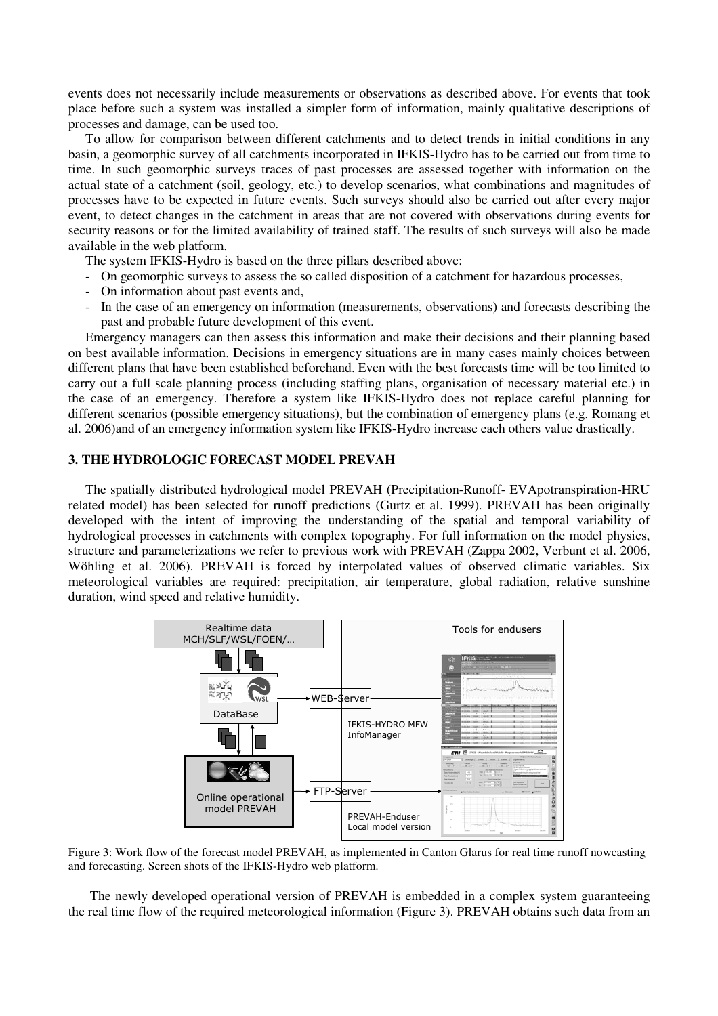events does not necessarily include measurements or observations as described above. For events that took place before such a system was installed a simpler form of information, mainly qualitative descriptions of processes and damage, can be used too.

To allow for comparison between different catchments and to detect trends in initial conditions in any basin, a geomorphic survey of all catchments incorporated in IFKIS-Hydro has to be carried out from time to time. In such geomorphic surveys traces of past processes are assessed together with information on the actual state of a catchment (soil, geology, etc.) to develop scenarios, what combinations and magnitudes of processes have to be expected in future events. Such surveys should also be carried out after every major event, to detect changes in the catchment in areas that are not covered with observations during events for security reasons or for the limited availability of trained staff. The results of such surveys will also be made available in the web platform.

The system IFKIS-Hydro is based on the three pillars described above:

- On geomorphic surveys to assess the so called disposition of a catchment for hazardous processes,
- On information about past events and,
- In the case of an emergency on information (measurements, observations) and forecasts describing the past and probable future development of this event.

Emergency managers can then assess this information and make their decisions and their planning based on best available information. Decisions in emergency situations are in many cases mainly choices between different plans that have been established beforehand. Even with the best forecasts time will be too limited to carry out a full scale planning process (including staffing plans, organisation of necessary material etc.) in the case of an emergency. Therefore a system like IFKIS-Hydro does not replace careful planning for different scenarios (possible emergency situations), but the combination of emergency plans (e.g. Romang et al. 2006)and of an emergency information system like IFKIS-Hydro increase each others value drastically.

# 3. THE HYDROLOGIC FORECAST MODEL PREVAH

The spatially distributed hydrological model PREVAH (Precipitation-Runoff- EVApotranspiration-HRU related model) has been selected for runoff predictions (Gurtz et al. 1999). PREVAH has been originally developed with the intent of improving the understanding of the spatial and temporal variability of hydrological processes in catchments with complex topography. For full information on the model physics, structure and parameterizations we refer to previous work with PREVAH (Zappa 2002, Verbunt et al. 2006, Wöhling et al. 2006). PREVAH is forced by interpolated values of observed climatic variables. Six meteorological variables are required: precipitation, air temperature, global radiation, relative sunshine duration, wind speed and relative humidity.



Figure 3: Work flow of the forecast model PREVAH, as implemented in Canton Glarus for real time runoff nowcasting and forecasting. Screen shots of the IFKIS-Hydro web platform.

The newly developed operational version of PREVAH is embedded in a complex system guaranteeing the real time flow of the required meteorological information (Figure 3). PREVAH obtains such data from an